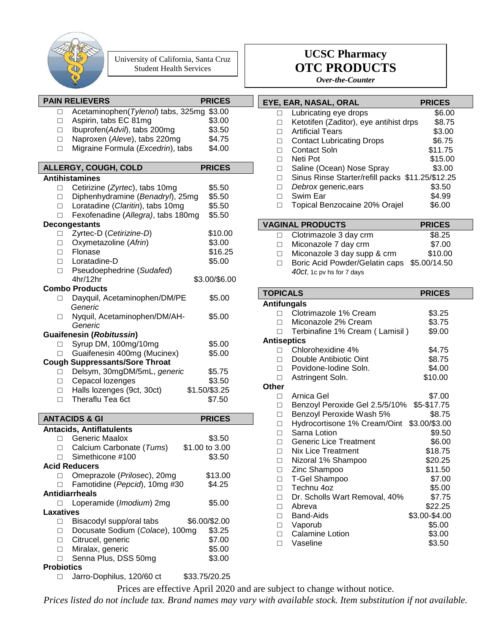

University of California, Santa Cruz Student Health Services

#### **PAIN RELIEVERS PRICES** □ Acetaminophen(*Tylenol*) tabs, 325mg \$3.00  $\Box$  Aspirin, tabs EC 81mg  $$3.00$ □ **Ibuprofen(Advil), tabs 200mg** \$3.50 □ Naproxen (*Aleve*), tabs 220mg \$4.75 □ Migraine Formula (*Excedrin*), tabs \$4.00 **ALLERGY, COUGH, COLD PRICES Antihistamines** □ Cetirizine (*Zyrtec*), tabs 10mg \$5.50 □ Diphenhydramine (*Benadryl*), 25mg \$5.50 □ Loratadine (*Claritin*), tabs 10mg \$5.50 □ Fexofenadine (*Allegra)*, tabs 180mg \$5.50 **Decongestants** □ Zyrtec-D (*Cetirizine-D*) \$10.00 □ Oxymetazoline (*Afrin*) \$3.00  $\square$  Flonase  $$16.25$ □ Loratadine-D \$5.00 □ Pseudoephedrine (*Sudafed*) 4hr/12hr \$3.00/\$6.00 **Combo Products** □ Dayquil, Acetaminophen/DM/PE \$5.00  *Generic* □ Nyquil, Acetaminophen/DM/AH- \$5.00 *Generic* **Guaifenesin (***Robitussin***)**  $\Box$  Syrup DM, 100mg/10mg  $$5.00$ □ Guaifenesin 400mg (Mucinex) \$5.00 **Cough Suppressants/Sore Throat** □ Delsym, 30mgDM/5mL, *generic* \$5.75 □ Cepacol lozenges \$3.50 □ Halls lozenges (9ct, 30ct) \$1.50/\$3.25 □ Theraflu Tea 6ct \$7.50 **ANTACIDS & GI PRICES Antacids, Antiflatulents** □ Generic Maalox \$3.50 □ Calcium Carbonate (*Tums*) \$1.00 to 3.00  $\Box$  Simethicone #100  $$3.50$ **Acid Reducers** □ Omeprazole (*Prilosec*), 20mg \$13.00 □ Famotidine (*Pepcid*), 10mg #30 \$4.25 **Antidiarrheals** □ Loperamide (*Imodium*) 2mg \$5.00 **Laxatives** □ Bisacodyl supp/oral tabs \$6.00/\$2.00 □ Docusate Sodium (*Colace*), 100mg \$3.25 □ Citrucel, generic \$7.00 □ Miralax, generic \$5.00 □ Senna Plus, DSS 50mg \$3.00

#### **Probiotics**

□ Jarro-Dophilus, 120/60 ct \$33.75/20.25

## **UCSC Pharmacy OTC PRODUCTS**

*Over-the-Counter*

### **EYE, EAR, NASAL, ORAL PRICES**

|   | Lubricating eye drops                            | \$6.00  |
|---|--------------------------------------------------|---------|
| П | Ketotifen (Zaditor), eye antihist drps           | \$8.75  |
|   | <b>Artificial Tears</b>                          | \$3.00  |
|   | <b>Contact Lubricating Drops</b>                 | \$6.75  |
|   | Contact Soln                                     | \$11.75 |
|   | Neti Pot                                         | \$15.00 |
| П | Saline (Ocean) Nose Spray                        | \$3.00  |
|   | Sinus Rinse Starter/refill packs \$11.25/\$12.25 |         |
|   | Debrox generic, ears                             | \$3.50  |
|   | Swim Ear                                         | \$4.99  |
|   | Topical Benzocaine 20% Orajel                    | \$6.00  |

|    | <b>VAGINAL PRODUCTS</b>                                                  | <b>PRICES</b> |  |
|----|--------------------------------------------------------------------------|---------------|--|
|    | $\Box$ Clotrimazole 3 day crm                                            | \$8.25        |  |
|    | $\Box$ Miconazole 7 day crm                                              | \$7.00        |  |
| П. | Miconazole 3 day supp & crm                                              | \$10.00       |  |
|    | Boric Acid Powder/Gelatin caps \$5.00/14.50<br>40ct, 1c pv hs for 7 days |               |  |

| TOPICALS           |                                | <b>PRICES</b> |
|--------------------|--------------------------------|---------------|
| <b>Antifungals</b> |                                |               |
| п                  | Clotrimazole 1% Cream          | \$3.25        |
| п                  | Miconazole 2% Cream            | \$3.75        |
| П                  | Terbinafine 1% Cream (Lamisil) | \$9.00        |
| <b>Antiseptics</b> |                                |               |
|                    | Chlorohexidine 4%              | \$4.75        |
| П                  | Double Antibiotic Oint         | \$8.75        |
| $\Box$             | Povidone-Iodine Soln.          | \$4.00        |
| П                  | Astringent Soln.               | \$10.00       |
| Other              |                                |               |
| П.                 | Arnica Gel                     | \$7.00        |
| П                  | Benzoyl Peroxide Gel 2.5/5/10% | \$5-\$17.75   |
| П                  | Benzoyl Peroxide Wash 5%       | \$8.75        |
| П                  | Hydrocortisone 1% Cream/Oint   | \$3.00/\$3.00 |
| П                  | Sarna Lotion                   | \$9.50        |
| П                  | <b>Generic Lice Treatment</b>  | \$6.00        |
| П                  | <b>Nix Lice Treatment</b>      | \$18.75       |
| П                  | Nizoral 1% Shampoo             | \$20.25       |
| $\Box$             | Zinc Shampoo                   | \$11.50       |
| П                  | <b>T-Gel Shampoo</b>           | \$7.00        |
| П                  | Technu 4oz                     | \$5.00        |
| П                  | Dr. Scholls Wart Removal, 40%  | \$7.75        |
| П                  | Abreva                         | \$22.25       |
| П                  | Band-Aids                      | \$3.00-\$4.00 |
| П                  | Vaporub                        | \$5.00        |
| П                  | <b>Calamine Lotion</b>         | \$3.00        |
|                    | Vaseline                       | \$3.50        |
|                    |                                |               |

Prices are effective April 2020 and are subject to change without notice.

*Prices listed do not include tax. Brand names may vary with available stock. Item substitution if not available.*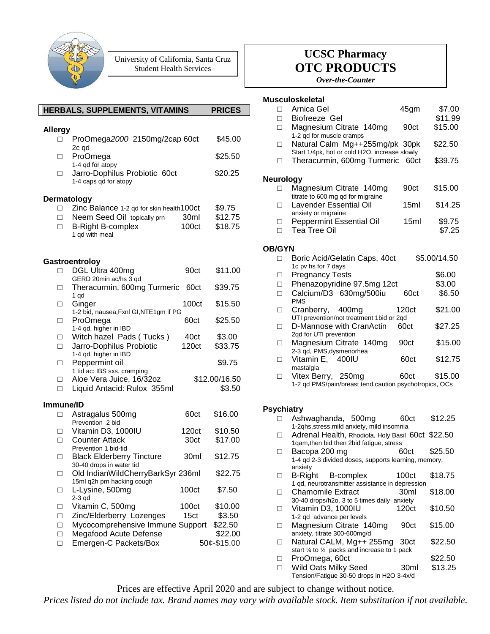

University of California, Santa Cruz Student Health Services

|                    | HERBALS, SUPPLEMENTS, VITAMINS                                              |                  | <b>PRICES</b>           |
|--------------------|-----------------------------------------------------------------------------|------------------|-------------------------|
| <b>Allergy</b>     |                                                                             |                  |                         |
| п                  | ProOmega2000 2150mg/2cap 60ct<br>2c qd                                      |                  | \$45.00                 |
| п                  | ProOmega<br>1-4 qd for atopy                                                |                  | \$25.50                 |
| $\Box$             | Jarro-Dophilus Probiotic 60ct<br>1-4 caps qd for atopy                      |                  | \$20.25                 |
| <b>Dermatology</b> |                                                                             |                  |                         |
| $\Box$             | Zinc Balance 1-2 qd for skin health100ct                                    |                  | \$9.75                  |
| П.<br>П            | Neem Seed Oil topically prn<br><b>B-Right B-complex</b><br>1 qd with meal   | 30ml<br>100ct    | \$12.75<br>\$18.75      |
|                    | Gastroentroloy                                                              |                  |                         |
| П                  | DGL Ultra 400mg<br>GERD 20min ac/hs 3 qd                                    | 90ct             | \$11.00                 |
| П                  | Theracurmin, 600mg Turmeric<br>1 qd                                         | 60ct             | \$39.75                 |
| $\Box$             | Ginger                                                                      | 100ct            | \$15.50                 |
| П                  | 1-2 bid, nausea, Fxnl GI, NTE1gm if PG<br>ProOmega<br>1-4 qd, higher in IBD | 60ct             | \$25.50                 |
| $\Box$<br>$\Box$   | Witch hazel Pads (Tucks)<br>Jarro-Dophilus Probiotic                        | 40ct<br>120ct    | \$3.00<br>\$33.75       |
|                    | 1-4 qd, higher in IBD                                                       |                  |                         |
| $\Box$             | Peppermint oil<br>1 tid ac: IBS sxs. cramping                               |                  | \$9.75                  |
| П<br>П             | Aloe Vera Juice, 16/32oz<br>Liquid Antacid: Rulox 355ml                     |                  | \$12.00/16.50<br>\$3.50 |
|                    |                                                                             |                  |                         |
| Immune/ID          | Astragalus 500mg                                                            | 60ct             | \$16.00                 |
| $\Box$             | Prevention 2 bid                                                            |                  |                         |
| □                  | Vitamin D3, 1000IU                                                          | 120ct            | \$10.50                 |
| П                  | <b>Counter Attack</b><br>Prevention 1 bid-tid                               | 30ct             | \$17.00                 |
| $\Box$             | <b>Black Elderberry Tincture</b><br>30-40 drops in water tid                | 30ml             | \$12.75                 |
| □                  | Old IndianWildCherryBarkSyr 236ml<br>15ml q2h prn hacking cough             |                  | \$22.75                 |
| $\Box$             | L-Lysine, 500mg<br>$2-3$ qd                                                 | 100ct            | \$7.50                  |
| $\Box$             | Vitamin C, 500mg                                                            | 100ct            | \$10.00                 |
| $\Box$             | Zinc/Elderberry Lozenges                                                    | 15 <sub>ct</sub> | \$3.50                  |
| $\Box$             | Mycocomprehensive Immune Support                                            |                  | \$22.50                 |
| $\Box$<br>$\Box$   | Megafood Acute Defense<br>Emergen-C Packets/Box                             |                  | \$22.00<br>50¢-\$15.00  |
|                    |                                                                             |                  |                         |

# **UCSC Pharmacy OTC PRODUCTS**

*Over-the-Counter*

### **Musculoskeletal**

| П                 | Arnica Gel<br>Biofreeze Gel                                                                                 | 45gm             | \$7.00<br>\$11.99 |
|-------------------|-------------------------------------------------------------------------------------------------------------|------------------|-------------------|
| п<br>П            | Magnesium Citrate 140mg                                                                                     | 90ct             | \$15.00           |
| п                 | 1-2 qd for muscle cramps<br>Natural Calm Mg++255mg/pk 30pk<br>Start 1/4pk, hot or cold H2O, increase slowly |                  | \$22.50           |
| П                 | Theracurmin, 600mg Turmeric                                                                                 | 60ct             | \$39.75           |
| <b>Neurology</b>  |                                                                                                             |                  |                   |
| п                 | Magnesium Citrate 140mg<br>titrate to 600 mg qd for migraine                                                | 90ct             | \$15.00           |
| п                 | <b>Lavender Essential Oil</b><br>anxiety or migraine                                                        | 15 <sub>ml</sub> | \$14.25           |
| П<br>п            | Peppermint Essential Oil<br><b>Tea Tree Oil</b>                                                             | 15ml             | \$9.75<br>\$7.25  |
| <b>OB/GYN</b>     |                                                                                                             |                  |                   |
| П                 | Boric Acid/Gelatin Caps, 40ct<br>1c pv hs for 7 days                                                        |                  | \$5.00/14.50      |
| п                 | <b>Pregnancy Tests</b>                                                                                      |                  | \$6.00            |
| П                 | Phenazopyridine 97.5mg 12ct                                                                                 |                  | \$3.00            |
| П                 | Calcium/D3 630mg/500iu<br><b>PMS</b>                                                                        | 60ct             | \$6.50            |
| П                 | Cranberry, 400mg<br>UTI prevention/not treatment 1bid or 2qd                                                | 120ct            | \$21.00           |
| П                 | D-Mannose with CranActin<br>2qd for UTI prevention                                                          | 60ct             | \$27.25           |
| П                 | Magnesium Citrate 140mg<br>2-3 qd, PMS, dysmenorhea                                                         | 90ct             | \$15.00           |
| П                 | Vitamin E, 400IU<br>mastalgia                                                                               | 60ct             | \$12.75           |
| П                 | Vitex Berry, 250mg<br>1-2 qd PMS/pain/breast tend, caution psychotropics, OCs                               | 60ct             | \$15.00           |
| <b>Psychiatry</b> |                                                                                                             |                  |                   |
|                   | Ashwaghanda, 500mg<br>1-2qhs, stress, mild anxiety, mild insomnia                                           | 60 <sub>ct</sub> | \$12.25           |

|   | 1-2qhs, stress, mild anxiety, mild insomnia          |                   |         |
|---|------------------------------------------------------|-------------------|---------|
| п | Adrenal Health, Rhodiola, Holy Basil 60ct \$22.50    |                   |         |
|   | 1qam, then bid then 2bid fatigue, stress             |                   |         |
| п | Bacopa 200 mg                                        | 60ct              | \$25.50 |
|   | 1-4 qd 2-3 divided doses, supports learning, memory, |                   |         |
|   | anxiety                                              |                   |         |
|   | B-Right B-complex                                    | 100ct             | \$18.75 |
|   | 1 qd, neurotransmitter assistance in depression      |                   |         |
| П | <b>Chamomile Extract</b>                             | 30 <sub>ml</sub>  | \$18.00 |
|   | 30-40 drops/h2o, 3 to 5 times daily anxiety          |                   |         |
| п | Vitamin D3, 1000IU                                   | 120 <sub>ct</sub> | \$10.50 |
|   | 1-2 gd advance per levels                            |                   |         |
| п | Magnesium Citrate 140mg                              | 90ct              | \$15.00 |
|   | anxiety, titrate 300-600mg/d                         |                   |         |
| п | Natural CALM, Mg++ 255mg                             | 30ct              | \$22.50 |
|   | start 1/4 to 1/2 packs and increase to 1 pack        |                   |         |
| П | ProOmega, 60ct                                       |                   | \$22.50 |
| П | Wild Oats Milky Seed                                 | 30ml              | \$13.25 |
|   | Tension/Fatigue 30-50 drops in H2O 3-4x/d            |                   |         |

Prices are effective April 2020 and are subject to change without notice.

*Prices listed do not include tax. Brand names may vary with available stock. Item substitution if not available.*